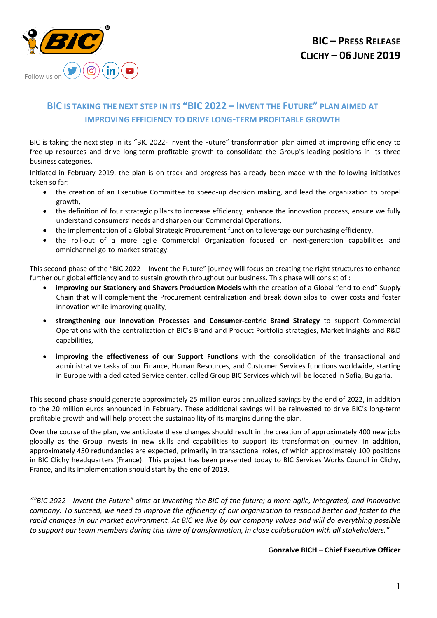

## **BIC IS TAKING THE NEXT STEP IN ITS "BIC 2022 – INVENT THE FUTURE" PLAN AIMED AT IMPROVING EFFICIENCY TO DRIVE LONG-TERM PROFITABLE GROWTH**

BIC is taking the next step in its "BIC 2022- Invent the Future" transformation plan aimed at improving efficiency to free-up resources and drive long-term profitable growth to consolidate the Group's leading positions in its three business categories.

Initiated in February 2019, the plan is on track and progress has already been made with the following initiatives taken so far:

- the creation of an Executive Committee to speed-up decision making, and lead the organization to propel growth,
- the definition of four strategic pillars to increase efficiency, enhance the innovation process, ensure we fully understand consumers' needs and sharpen our Commercial Operations,
- the implementation of a Global Strategic Procurement function to leverage our purchasing efficiency,
- the roll-out of a more agile Commercial Organization focused on next-generation capabilities and omnichannel go-to-market strategy.

This second phase of the "BIC 2022 – Invent the Future" journey will focus on creating the right structures to enhance further our global efficiency and to sustain growth throughout our business. This phase will consist of :

- **improving our Stationery and Shavers Production Models** with the creation of a Global "end-to-end" Supply Chain that will complement the Procurement centralization and break down silos to lower costs and foster innovation while improving quality,
- **strengthening our Innovation Processes and Consumer-centric Brand Strategy** to support Commercial Operations with the centralization of BIC's Brand and Product Portfolio strategies, Market Insights and R&D capabilities,
- **improving the effectiveness of our Support Functions** with the consolidation of the transactional and administrative tasks of our Finance, Human Resources, and Customer Services functions worldwide, starting in Europe with a dedicated Service center, called Group BIC Services which will be located in Sofia, Bulgaria.

This second phase should generate approximately 25 million euros annualized savings by the end of 2022, in addition to the 20 million euros announced in February. These additional savings will be reinvested to drive BIC's long-term profitable growth and will help protect the sustainability of its margins during the plan.

Over the course of the plan, we anticipate these changes should result in the creation of approximately 400 new jobs globally as the Group invests in new skills and capabilities to support its transformation journey. In addition, approximately 450 redundancies are expected, primarily in transactional roles, of which approximately 100 positions in BIC Clichy headquarters (France). This project has been presented today to BIC Services Works Council in Clichy, France, and its implementation should start by the end of 2019.

*""BIC 2022 - Invent the Future" aims at inventing the BIC of the future; a more agile, integrated, and innovative company. To succeed, we need to improve the efficiency of our organization to respond better and faster to the rapid changes in our market environment. At BIC we live by our company values and will do everything possible to support our team members during this time of transformation, in close collaboration with all stakeholders."*

**Gonzalve BICH – Chief Executive Officer**